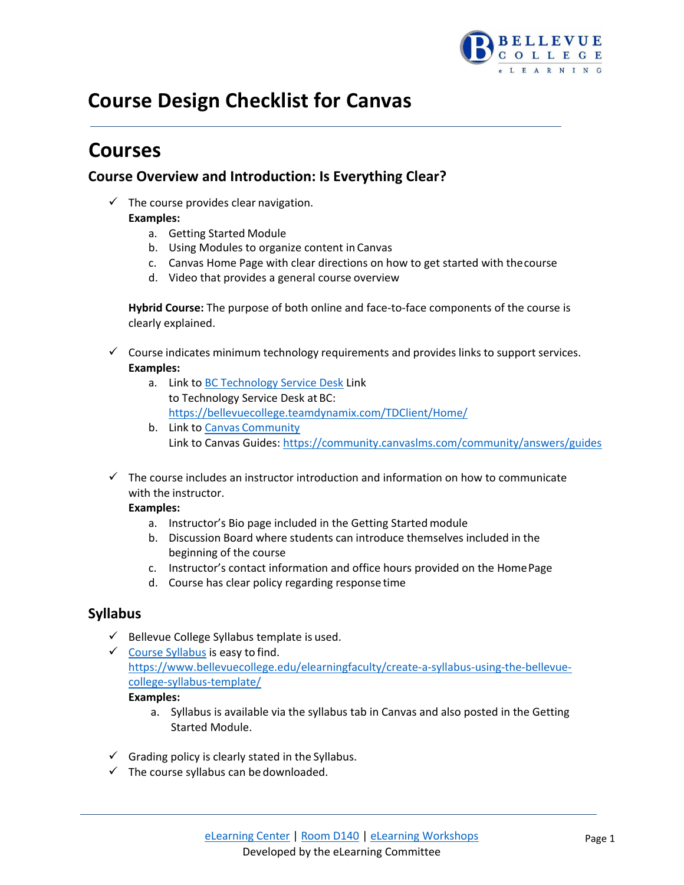

# **Course Design Checklist for Canvas**

# **Courses**

# **Course Overview and Introduction: Is Everything Clear?**

- $\checkmark$  The course provides clear navigation. **Examples:**
	- a. Getting Started Module
	- b. Using Modules to organize content in Canvas
	- c. Canvas Home Page with clear directions on how to get started with thecourse
	- d. Video that provides a general course overview

**Hybrid Course:** The purpose of both online and face-to-face components of the course is clearly explained.

- $\checkmark$  Course indicates minimum technology requirements and provides links to support services. **Examples:**
	- a. Link to [BC Technology Service Desk](https://bellevuecollege.teamdynamix.com/TDClient/Home/) Link to Technology Service Desk at BC: <https://bellevuecollege.teamdynamix.com/TDClient/Home/>
	- b. Link to Canvas [Community](https://community.canvaslms.com/community/answers/guides) Link to Canvas Guides[: https://community.canvaslms.com/community/answers/guides](https://community.canvaslms.com/community/answers/guides)
- $\checkmark$  The course includes an instructor introduction and information on how to communicate with the instructor.

### **Examples:**

- a. Instructor's Bio page included in the Getting Started module
- b. Discussion Board where students can introduce themselves included in the beginning of the course
- c. Instructor's contact information and office hours provided on the HomePage
- d. Course has clear policy regarding response time

# **Syllabus**

- $\checkmark$  Bellevue College Syllabus template is used.
- $\checkmark$  [Course Syllabus](https://www.bellevuecollege.edu/elearningfaculty/create-a-syllabus-using-the-bellevue-college-syllabus-template/) is easy to find. [https://www.bellevuecollege.edu/elearningfaculty/create-a-syllabus-using-the-bellevue](https://www.bellevuecollege.edu/elearningfaculty/create-a-syllabus-using-the-bellevue-college-syllabus-template/)[college-syllabus-template/](https://www.bellevuecollege.edu/elearningfaculty/create-a-syllabus-using-the-bellevue-college-syllabus-template/)

**Examples:**

- a. Syllabus is available via the syllabus tab in Canvas and also posted in the Getting Started Module.
- $\checkmark$  Grading policy is clearly stated in the Syllabus.
- $\checkmark$  The course syllabus can be downloaded.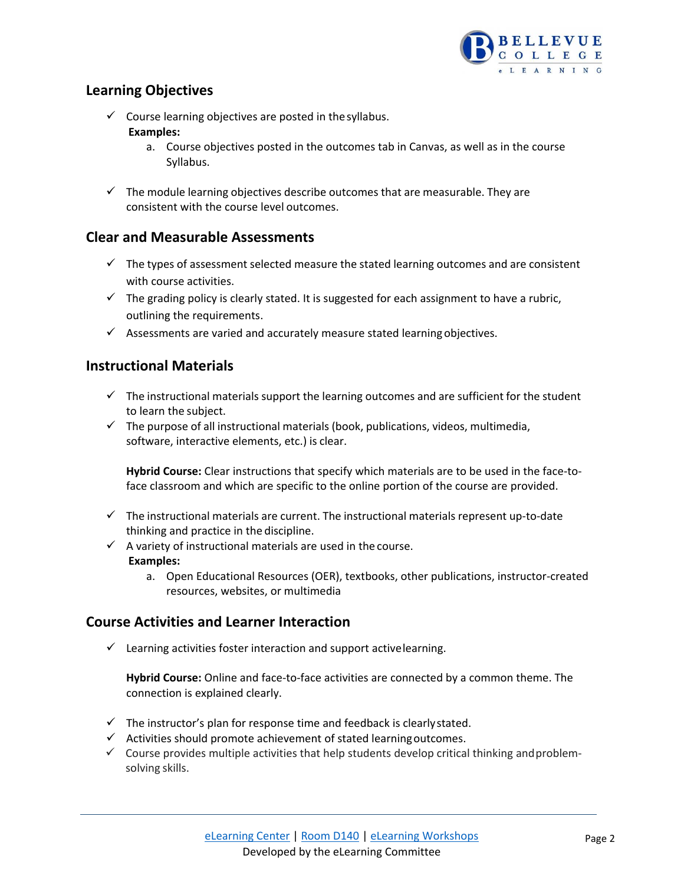

# **Learning Objectives**

- $\checkmark$  Course learning objectives are posted in the syllabus. **Examples:**
	- a. Course objectives posted in the outcomes tab in Canvas, as well as in the course Syllabus.
- $\checkmark$  The module learning objectives describe outcomes that are measurable. They are consistent with the course level outcomes.

## **Clear and Measurable Assessments**

- $\checkmark$  The types of assessment selected measure the stated learning outcomes and are consistent with course activities.
- $\checkmark$  The grading policy is clearly stated. It is suggested for each assignment to have a rubric, outlining the requirements.
- $\checkmark$  Assessments are varied and accurately measure stated learning objectives.

## **Instructional Materials**

- $\checkmark$  The instructional materials support the learning outcomes and are sufficient for the student to learn the subject.
- $\checkmark$  The purpose of all instructional materials (book, publications, videos, multimedia, software, interactive elements, etc.) is clear.

**Hybrid Course:** Clear instructions that specify which materials are to be used in the face-toface classroom and which are specific to the online portion of the course are provided.

- $\checkmark$  The instructional materials are current. The instructional materials represent up-to-date thinking and practice in the discipline.
- $\checkmark$  A variety of instructional materials are used in the course. **Examples:**
	- a. Open Educational Resources (OER), textbooks, other publications, instructor-created resources, websites, or multimedia

# **Course Activities and Learner Interaction**

 $\checkmark$  Learning activities foster interaction and support active learning.

**Hybrid Course:** Online and face-to-face activities are connected by a common theme. The connection is explained clearly.

- $\checkmark$  The instructor's plan for response time and feedback is clearly stated.
- $\checkmark$  Activities should promote achievement of stated learning outcomes.
- $\checkmark$  Course provides multiple activities that help students develop critical thinking and problemsolving skills.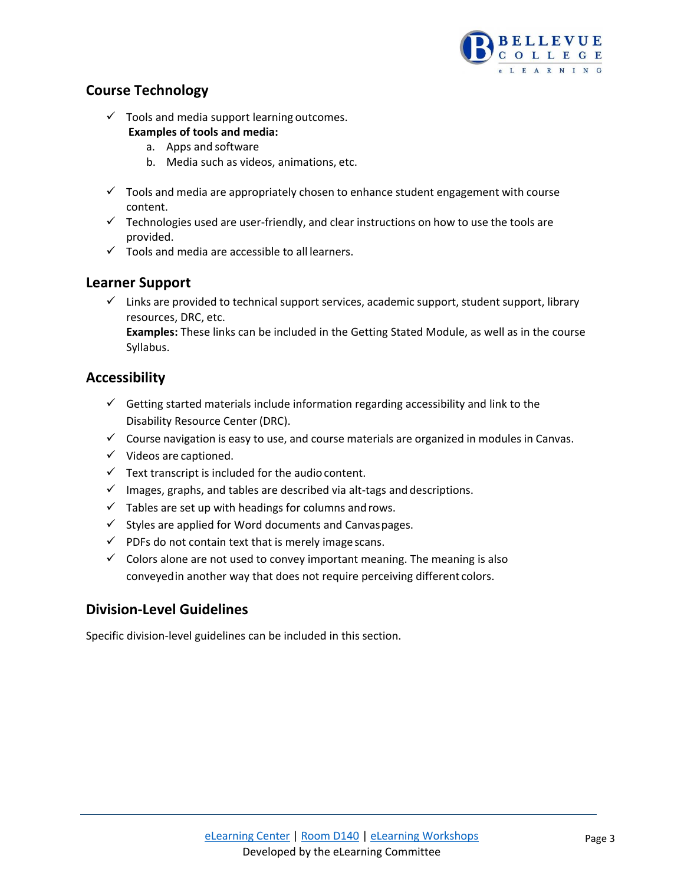

# **Course Technology**

- $\checkmark$  Tools and media support learning outcomes. **Examples of tools and media:**
	- a. Apps and software
	- b. Media such as videos, animations, etc.
- $\checkmark$  Tools and media are appropriately chosen to enhance student engagement with course content.
- $\checkmark$  Technologies used are user-friendly, and clear instructions on how to use the tools are provided.
- $\checkmark$  Tools and media are accessible to all learners.

## **Learner Support**

 $\checkmark$  Links are provided to technical support services, academic support, student support, library resources, DRC, etc.

**Examples:** These links can be included in the Getting Stated Module, as well as in the course Syllabus.

# **Accessibility**

- $\checkmark$  Getting started materials include information regarding accessibility and link to the Disability Resource Center (DRC).
- $\checkmark$  Course navigation is easy to use, and course materials are organized in modules in Canvas.
- $\checkmark$  Videos are captioned.
- $\checkmark$  Text transcript is included for the audio content.
- $\checkmark$  Images, graphs, and tables are described via alt-tags and descriptions.
- $\checkmark$  Tables are set up with headings for columns and rows.
- $\checkmark$  Styles are applied for Word documents and Canvaspages.
- $\checkmark$  PDFs do not contain text that is merely image scans.
- $\checkmark$  Colors alone are not used to convey important meaning. The meaning is also conveyedin another way that does not require perceiving different colors.

# **Division-Level Guidelines**

Specific division-level guidelines can be included in this section.